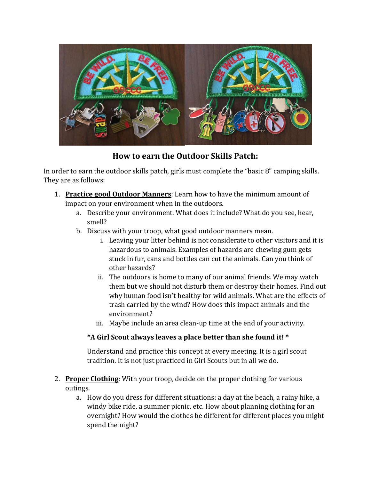

**How to earn the Outdoor Skills Patch:**

In order to earn the outdoor skills patch, girls must complete the "basic 8" camping skills. They are as follows:

- 1. **Practice good Outdoor Manners**: Learn how to have the minimum amount of impact on your environment when in the outdoors.
	- a. Describe your environment. What does it include? What do you see, hear, smell?
	- b. Discuss with your troop, what good outdoor manners mean.
		- i. Leaving your litter behind is not considerate to other visitors and it is hazardous to animals. Examples of hazards are chewing gum gets stuck in fur, cans and bottles can cut the animals. Can you think of other hazards?
		- ii. The outdoors is home to many of our animal friends. We may watch them but we should not disturb them or destroy their homes. Find out why human food isn't healthy for wild animals. What are the effects of trash carried by the wind? How does this impact animals and the environment?
		- iii. Maybe include an area clean-up time at the end of your activity.

## **\*A Girl Scout always leaves a place better than she found it! \***

Understand and practice this concept at every meeting. It is a girl scout tradition. It is not just practiced in Girl Scouts but in all we do.

- 2. **Proper Clothing**: With your troop, decide on the proper clothing for various outings.
	- a. How do you dress for different situations: a day at the beach, a rainy hike, a windy bike ride, a summer picnic, etc. How about planning clothing for an overnight? How would the clothes be different for different places you might spend the night?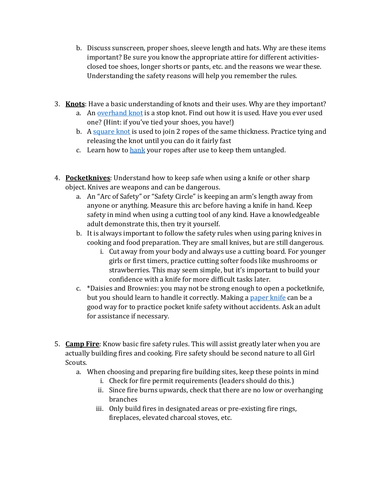- b. Discuss sunscreen, proper shoes, sleeve length and hats. Why are these items important? Be sure you know the appropriate attire for different activitiesclosed toe shoes, longer shorts or pants, etc. and the reasons we wear these. Understanding the safety reasons will help you remember the rules.
- 3. **Knots**: Have a basic understanding of knots and their uses. Why are they important?
	- a. An [overhand knot](https://www.animatedknots.com/overhand/index.php) is a stop knot. Find out how it is used. Have you ever used one? (Hint: if you've tied your shoes, you have!)
	- b. A [square knot](https://www.animatedknots.com/reef/index.php) is used to join 2 ropes of the same thickness. Practice tying and releasing the knot until you can do it fairly fast
	- c. Learn how to [hank](https://www.animatedknots.com/coiling/index.php#figure8coil) your ropes after use to keep them untangled.
- 4. **Pocketknives**: Understand how to keep safe when using a knife or other sharp object. Knives are weapons and can be dangerous.
	- a. An "Arc of Safety" or "Safety Circle" is keeping an arm's length away from anyone or anything. Measure this arc before having a knife in hand. Keep safety in mind when using a cutting tool of any kind. Have a knowledgeable adult demonstrate this, then try it yourself.
	- b. It is always important to follow the safety rules when using paring knives in cooking and food preparation. They are small knives, but are still dangerous.
		- i. Cut away from your body and always use a cutting board. For younger girls or first timers, practice cutting softer foods like mushrooms or strawberries. This may seem simple, but it's important to build your confidence with a knife for more difficult tasks later.
	- c. \*Daisies and Brownies: you may not be strong enough to open a pocketknife, but you should learn to handle it correctly. Making a [paper knife](http://www.wikihow.com/Make-a-Paper-Knife) can be a good way for to practice pocket knife safety without accidents. Ask an adult for assistance if necessary.
- 5. **Camp Fire**: Know basic fire safety rules. This will assist greatly later when you are actually building fires and cooking. Fire safety should be second nature to all Girl Scouts.
	- a. When choosing and preparing fire building sites, keep these points in mind
		- i. Check for fire permit requirements (leaders should do this.)
		- ii. Since fire burns upwards, check that there are no low or overhanging branches
		- iii. Only build fires in designated areas or pre-existing fire rings, fireplaces, elevated charcoal stoves, etc.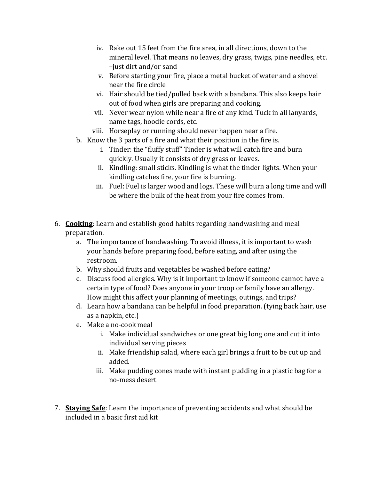- iv. Rake out 15 feet from the fire area, in all directions, down to the mineral level. That means no leaves, dry grass, twigs, pine needles, etc. –just dirt and/or sand
- v. Before starting your fire, place a metal bucket of water and a shovel near the fire circle
- vi. Hair should be tied/pulled back with a bandana. This also keeps hair out of food when girls are preparing and cooking.
- vii. Never wear nylon while near a fire of any kind. Tuck in all lanyards, name tags, hoodie cords, etc.
- viii. Horseplay or running should never happen near a fire.
- b. Know the 3 parts of a fire and what their position in the fire is.
	- i. Tinder: the "fluffy stuff" Tinder is what will catch fire and burn quickly. Usually it consists of dry grass or leaves.
	- ii. Kindling: small sticks. Kindling is what the tinder lights. When your kindling catches fire, your fire is burning.
	- iii. Fuel: Fuel is larger wood and logs. These will burn a long time and will be where the bulk of the heat from your fire comes from.
- 6. **Cooking**: Learn and establish good habits regarding handwashing and meal preparation.
	- a. The importance of handwashing. To avoid illness, it is important to wash your hands before preparing food, before eating, and after using the restroom.
	- b. Why should fruits and vegetables be washed before eating?
	- c. Discuss food allergies. Why is it important to know if someone cannot have a certain type of food? Does anyone in your troop or family have an allergy. How might this affect your planning of meetings, outings, and trips?
	- d. Learn how a bandana can be helpful in food preparation. (tying back hair, use as a napkin, etc.)
	- e. Make a no-cook meal
		- i. Make individual sandwiches or one great big long one and cut it into individual serving pieces
		- ii. Make friendship salad, where each girl brings a fruit to be cut up and added.
		- iii. Make pudding cones made with instant pudding in a plastic bag for a no-mess desert
- 7. **Staying Safe**: Learn the importance of preventing accidents and what should be included in a basic first aid kit